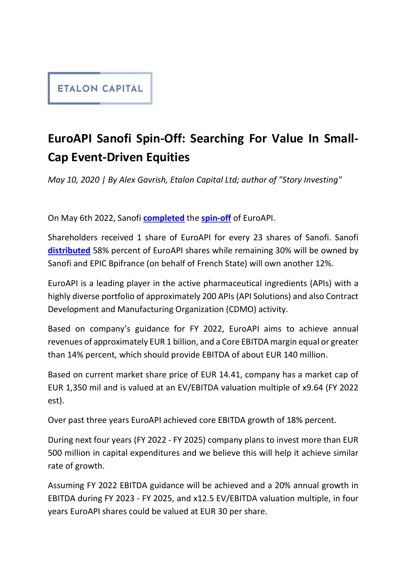## **ETALON CAPITAL**

## EuroAPI Sanofi Spin-Off: Searching For Value In Small-Cap Event-Driven Equities

May 10, 2020 | By Alex Gavrish, Etalon Capital Ltd; author of "Story Investing"<br>On May 6th 2022, Sanofi completed the spin-off of EuroAPI.

Shareholders received 1 share of EuroAPI for every 23 shares of Sanofi. Sanofi distributed 58% percent of EuroAPI shares while remaining 30% will be owned by Sanofi and EPIC Bpifrance (on behalf of French State) will own another 12%.

EuroAPI is a leading player in the active pharmaceutical ingredients (APIs) with a highly diverse portfolio of approximately 200 APIs (API Solutions) and also Contract Development and Manufacturing Organization (CDMO) activity.

Based on company's guidance for FY 2022, EuroAPI aims to achieve annual revenues of approximately EUR 1 billion, and a Core EBITDA margin equal or greater than 14% percent, which should provide EBITDA of about EUR 140 million.

Based on current market share price of EUR 14.41, company has a market cap of EUR 1,350 mil and is valued at an EV/EBITDA valuation multiple of x9.64 (FY 2022 est).

Over past three years EuroAPI achieved core EBITDA growth of 18% percent.

During next four years (FY 2022 - FY 2025) company plans to invest more than EUR 500 million in capital expenditures and we believe this will help it achieve similar rate of growth.

Assuming FY 2022 EBITDA guidance will be achieved and a 20% annual growth in EBITDA during FY 2023 - FY 2025, and x12.5 EV/EBITDA valuation multiple, in four years EuroAPI shares could be valued at EUR 30 per share.